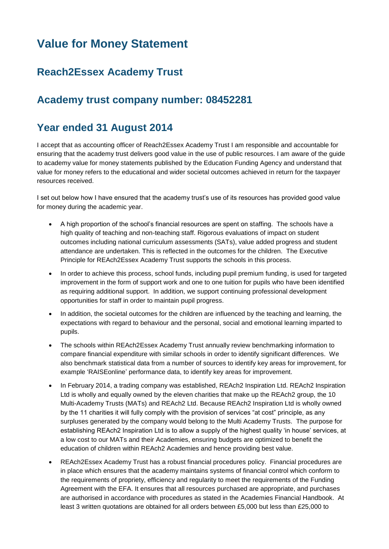# **Value for Money Statement**

#### **Reach2Essex Academy Trust**

## **Academy trust company number: 08452281**

## **Year ended 31 August 2014**

I accept that as accounting officer of Reach2Essex Academy Trust I am responsible and accountable for ensuring that the academy trust delivers good value in the use of public resources. I am aware of the guide to academy value for money statements published by the Education Funding Agency and understand that value for money refers to the educational and wider societal outcomes achieved in return for the taxpayer resources received.

I set out below how I have ensured that the academy trust's use of its resources has provided good value for money during the academic year.

- A high proportion of the school's financial resources are spent on staffing. The schools have a high quality of teaching and non-teaching staff. Rigorous evaluations of impact on student outcomes including national curriculum assessments (SATs), value added progress and student attendance are undertaken. This is reflected in the outcomes for the children. The Executive Principle for REAch2Essex Academy Trust supports the schools in this process.
- In order to achieve this process, school funds, including pupil premium funding, is used for targeted improvement in the form of support work and one to one tuition for pupils who have been identified as requiring additional support. In addition, we support continuing professional development opportunities for staff in order to maintain pupil progress.
- In addition, the societal outcomes for the children are influenced by the teaching and learning, the expectations with regard to behaviour and the personal, social and emotional learning imparted to pupils.
- The schools within REAch2Essex Academy Trust annually review benchmarking information to compare financial expenditure with similar schools in order to identify significant differences. We also benchmark statistical data from a number of sources to identify key areas for improvement, for example 'RAISEonline' performance data, to identify key areas for improvement.
- In February 2014, a trading company was established, REAch2 Inspiration Ltd. REAch2 Inspiration Ltd is wholly and equally owned by the eleven charities that make up the REAch2 group, the 10 Multi-Academy Trusts (MATs) and REAch2 Ltd. Because REAch2 Inspiration Ltd is wholly owned by the 11 charities it will fully comply with the provision of services "at cost" principle, as any surpluses generated by the company would belong to the Multi Academy Trusts. The purpose for establishing REAch2 Inspiration Ltd is to allow a supply of the highest quality 'in house' services, at a low cost to our MATs and their Academies, ensuring budgets are optimized to benefit the education of children within REAch2 Academies and hence providing best value.
- REAch2Essex Academy Trust has a robust financial procedures policy. Financial procedures are in place which ensures that the academy maintains systems of financial control which conform to the requirements of propriety, efficiency and regularity to meet the requirements of the Funding Agreement with the EFA. It ensures that all resources purchased are appropriate, and purchases are authorised in accordance with procedures as stated in the Academies Financial Handbook. At least 3 written quotations are obtained for all orders between £5,000 but less than £25,000 to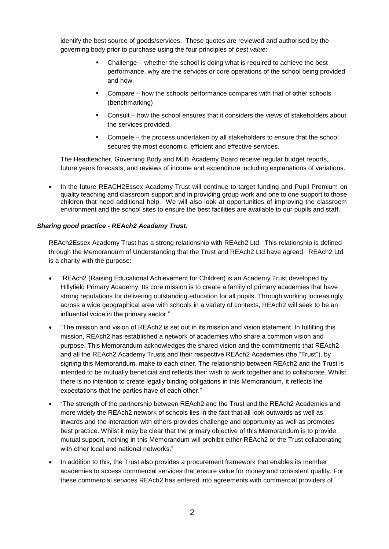identify the best source of goods/services. These quotes are reviewed and authorised by the governing body prior to purchase using the four principles of *best value*:

- Challenge whether the school is doing what is required to achieve the best performance, why are the services or core operations of the school being provided and how.
- Compare how the schools performance compares with that of other schools (benchmarking)
- Consult how the school ensures that it considers the views of stakeholders about the services provided.
- Compete the process undertaken by all stakeholders to ensure that the school secures the most economic, efficient and effective services.

The Headteacher, Governing Body and Multi Academy Board receive regular budget reports, future years forecasts, and reviews of income and expenditure including explanations of variations.

• In the future REACH2Essex Academy Trust will continue to target funding and Pupil Premium on quality teaching and classroom support and in providing group work and one to one support to those children that need additional help. We will also look at opportunities of improving the classroom environment and the school sites to ensure the best facilities are available to our pupils and staff.

#### *Sharing good practice - REAch2 Academy Trust.*

REAch2Essex Academy Trust has a strong relationship with REAch2 Ltd. This relationship is defined through the Memorandum of Understanding that the Trust and REAch2 Ltd have agreed. REAch2 Ltd is a charity with the purpose:

- "REAch2 (Raising Educational Achievement for Children) is an Academy Trust developed by Hillyfield Primary Academy. Its core mission is to create a family of primary academies that have strong reputations for delivering outstanding education for all pupils. Through working increasingly across a wide geographical area with schools in a variety of contexts, REAch2 will seek to be an influential voice in the primary sector."
- "The mission and vision of REAch2 is set out in its mission and vision statement. In fulfilling this mission, REAch2 has established a network of academies who share a common vision and purpose. This Memorandum acknowledges the shared vision and the commitments that REAch2 and all the REAch2 Academy Trusts and their respective REAch2 Academies (the "Trust"), by signing this Memorandum, make to each other. The relationship between REAch2 and the Trust is intended to be mutually beneficial and reflects their wish to work together and to collaborate. Whilst there is no intention to create legally binding obligations in this Memorandum, it reflects the expectations that the parties have of each other."
- "The strength of the partnership between REAch2 and the Trust and the REAch2 Academies and more widely the REAch2 network of schools lies in the fact that all look outwards as well as inwards and the interaction with others provides challenge and opportunity as well as promotes best practice. Whilst it may be clear that the primary objective of this Memorandum is to provide mutual support, nothing in this Memorandum will prohibit either REAch2 or the Trust collaborating with other local and national networks."
- In addition to this, the Trust also provides a procurement framework that enables its member academies to access commercial services that ensure value for money and consistent quality. For these commercial services REAch2 has entered into agreements with commercial providers of